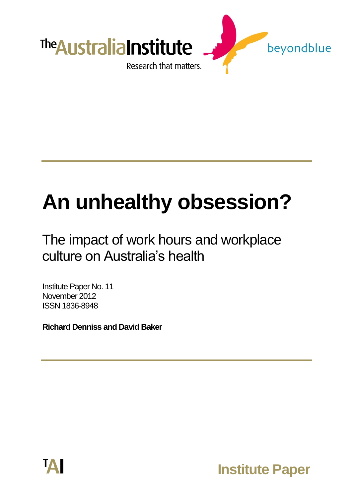

# **An unhealthy obsession?**

# The impact of work hours and workplace culture on Australia's health

Institute Paper No. 11 November 2012 ISSN 1836-8948

**Richard Denniss and David Baker**



**Institute Paper**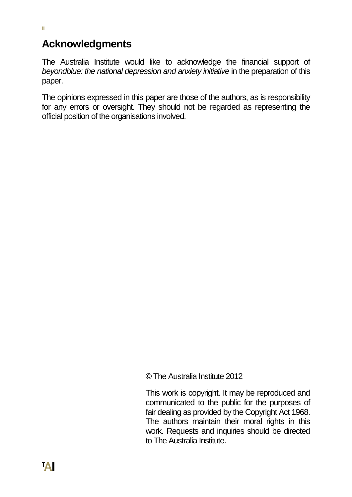## **Acknowledgments**

The Australia Institute would like to acknowledge the financial support of *beyondblue: the national depression and anxiety initiative* in the preparation of this paper.

The opinions expressed in this paper are those of the authors, as is responsibility for any errors or oversight. They should not be regarded as representing the official position of the organisations involved.

© The Australia Institute 2012

This work is copyright. It may be reproduced and communicated to the public for the purposes of fair dealing as provided by the Copyright Act 1968. The authors maintain their moral rights in this work. Requests and inquiries should be directed to The Australia Institute.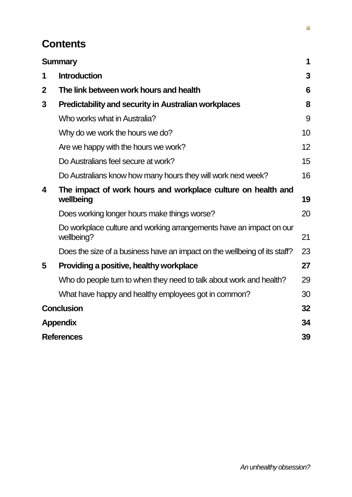# **Contents**

|             | <b>Summary</b>                                                                    | 1  |  |
|-------------|-----------------------------------------------------------------------------------|----|--|
| 1           | <b>Introduction</b>                                                               | 3  |  |
| $\mathbf 2$ | The link between work hours and health                                            | 6  |  |
| 3           | <b>Predictability and security in Australian workplaces</b>                       | 8  |  |
|             | Who works what in Australia?                                                      | 9  |  |
|             | Why do we work the hours we do?                                                   | 10 |  |
|             | Are we happy with the hours we work?                                              | 12 |  |
|             | Do Australians feel secure at work?                                               | 15 |  |
|             | Do Australians know how many hours they will work next week?                      | 16 |  |
| 4           | The impact of work hours and workplace culture on health and<br>wellbeing         | 19 |  |
|             | Does working longer hours make things worse?                                      | 20 |  |
|             | Do workplace culture and working arrangements have an impact on our<br>wellbeing? | 21 |  |
|             | Does the size of a business have an impact on the wellbeing of its staff?         | 23 |  |
| 5           | Providing a positive, healthy workplace                                           | 27 |  |
|             | Who do people turn to when they need to talk about work and health?               | 29 |  |
|             | What have happy and healthy employees got in common?                              | 30 |  |
|             | <b>Conclusion</b>                                                                 | 32 |  |
|             | <b>Appendix</b>                                                                   | 34 |  |
|             | <b>References</b>                                                                 |    |  |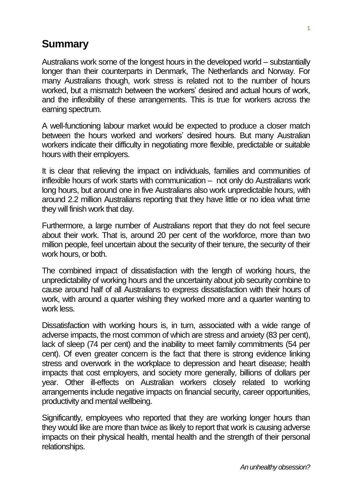# <span id="page-4-0"></span>**Summary**

Australians work some of the longest hours in the developed world – substantially longer than their counterparts in Denmark, The Netherlands and Norway. For many Australians though, work stress is related not to the number of hours worked, but a mismatch between the workers' desired and actual hours of work, and the inflexibility of these arrangements. This is true for workers across the earning spectrum.

A well-functioning labour market would be expected to produce a closer match between the hours worked and workers' desired hours. But many Australian workers indicate their difficulty in negotiating more flexible, predictable or suitable hours with their employers.

It is clear that relieving the impact on individuals, families and communities of inflexible hours of work starts with communication – not only do Australians work long hours, but around one in five Australians also work unpredictable hours, with around 2.2 million Australians reporting that they have little or no idea what time they will finish work that day.

Furthermore, a large number of Australians report that they do not feel secure about their work. That is, around 20 per cent of the workforce, more than two million people, feel uncertain about the security of their tenure, the security of their work hours, or both.

The combined impact of dissatisfaction with the length of working hours, the unpredictability of working hours and the uncertainty about job security combine to cause around half of all Australians to express dissatisfaction with their hours of work, with around a quarter wishing they worked more and a quarter wanting to work less.

Dissatisfaction with working hours is, in turn, associated with a wide range of adverse impacts, the most common of which are stress and anxiety (83 per cent), lack of sleep (74 per cent) and the inability to meet family commitments (54 per cent). Of even greater concern is the fact that there is strong evidence linking stress and overwork in the workplace to depression and heart disease; health impacts that cost employers, and society more generally, billions of dollars per year. Other ill-effects on Australian workers closely related to working arrangements include negative impacts on financial security, career opportunities, productivity and mental wellbeing.

Significantly, employees who reported that they are working longer hours than they would like are more than twice as likely to report that work is causing adverse impacts on their physical health, mental health and the strength of their personal relationships.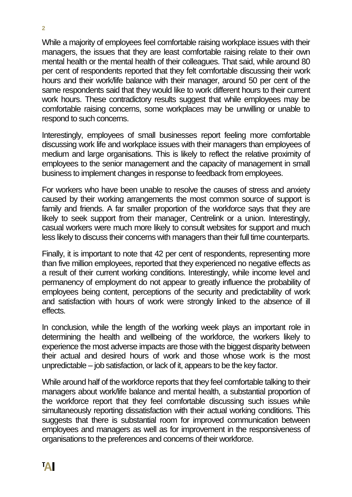While a majority of employees feel comfortable raising workplace issues with their managers, the issues that they are least comfortable raising relate to their own mental health or the mental health of their colleagues. That said, while around 80 per cent of respondents reported that they felt comfortable discussing their work hours and their work/life balance with their manager, around 50 per cent of the same respondents said that they would like to work different hours to their current work hours. These contradictory results suggest that while employees may be comfortable raising concerns, some workplaces may be unwilling or unable to respond to such concerns.

Interestingly, employees of small businesses report feeling more comfortable discussing work life and workplace issues with their managers than employees of medium and large organisations. This is likely to reflect the relative proximity of employees to the senior management and the capacity of management in small business to implement changes in response to feedback from employees.

For workers who have been unable to resolve the causes of stress and anxiety caused by their working arrangements the most common source of support is family and friends. A far smaller proportion of the workforce says that they are likely to seek support from their manager, Centrelink or a union. Interestingly, casual workers were much more likely to consult websites for support and much less likely to discuss their concerns with managers than their full time counterparts.

Finally, it is important to note that 42 per cent of respondents, representing more than five million employees, reported that they experienced no negative effects as a result of their current working conditions. Interestingly, while income level and permanency of employment do not appear to greatly influence the probability of employees being content, perceptions of the security and predictability of work and satisfaction with hours of work were strongly linked to the absence of ill effects.

In conclusion, while the length of the working week plays an important role in determining the health and wellbeing of the workforce, the workers likely to experience the most adverse impacts are those with the biggest disparity between their actual and desired hours of work and those whose work is the most unpredictable – job satisfaction, or lack of it, appears to be the key factor.

While around half of the workforce reports that they feel comfortable talking to their managers about work/life balance and mental health, a substantial proportion of the workforce report that they feel comfortable discussing such issues while simultaneously reporting dissatisfaction with their actual working conditions. This suggests that there is substantial room for improved communication between employees and managers as well as for improvement in the responsiveness of organisations to the preferences and concerns of their workforce.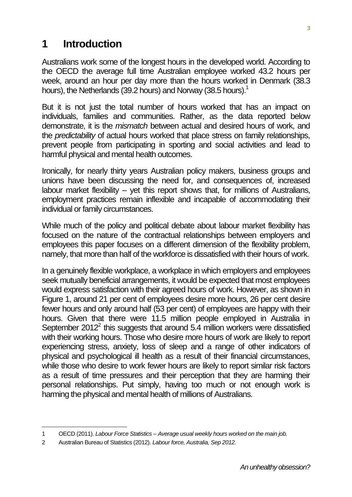### <span id="page-6-0"></span>**1 Introduction**

Australians work some of the longest hours in the developed world. According to the OECD the average full time Australian employee worked 43.2 hours per week, around an hour per day more than the hours worked in Denmark (38.3 hours), the Netherlands (39.2 hours) and Norway (38.5 hours).<sup>1</sup>

But it is not just the total number of hours worked that has an impact on individuals, families and communities. Rather, as the data reported below demonstrate, it is the *mismatch* between actual and desired hours of work, and the *predictability* of actual hours worked that place stress on family relationships, prevent people from participating in sporting and social activities and lead to harmful physical and mental health outcomes.

Ironically, for nearly thirty years Australian policy makers, business groups and unions have been discussing the need for, and consequences of, increased labour market flexibility – yet this report shows that, for millions of Australians, employment practices remain inflexible and incapable of accommodating their individual or family circumstances.

While much of the policy and political debate about labour market flexibility has focused on the nature of the contractual relationships between employers and employees this paper focuses on a different dimension of the flexibility problem, namely, that more than half of the workforce is dissatisfied with their hours of work.

In a genuinely flexible workplace, a workplace in which employers and employees seek mutually beneficial arrangements, it would be expected that most employees would express satisfaction with their agreed hours of work. However, as shown in Figure 1, around 21 per cent of employees desire more hours, 26 per cent desire fewer hours and only around half (53 per cent) of employees are happy with their hours. Given that there were 11.5 million people employed in Australia in September  $2012<sup>2</sup>$  this suggests that around 5.4 million workers were dissatisfied with their working hours. Those who desire more hours of work are likely to report experiencing stress, anxiety, loss of sleep and a range of other indicators of physical and psychological ill health as a result of their financial circumstances, while those who desire to work fewer hours are likely to report similar risk factors as a result of time pressures and their perception that they are harming their personal relationships. Put simply, having too much or not enough work is harming the physical and mental health of millions of Australians.

l

<sup>1</sup> OECD (2011). *Labour Force Statistics – Average usual weekly hours worked on the main job.* 

<sup>2</sup> Australian Bureau of Statistics (2012). *Labour force, Australia, Sep 2012.*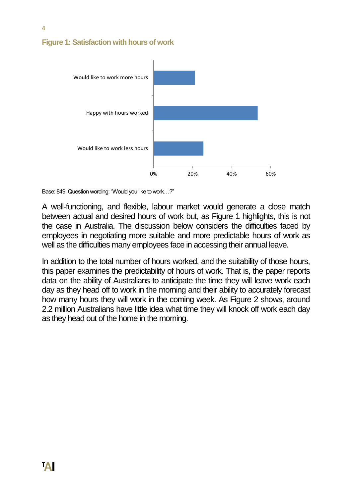#### **Figure 1: Satisfaction with hours of work**



Base: 849. Question wording: "Would you like to work…?"

A well-functioning, and flexible, labour market would generate a close match between actual and desired hours of work but, as Figure 1 highlights, this is not the case in Australia. The discussion below considers the difficulties faced by employees in negotiating more suitable and more predictable hours of work as well as the difficulties many employees face in accessing their annual leave.

In addition to the total number of hours worked, and the suitability of those hours, this paper examines the predictability of hours of work. That is, the paper reports data on the ability of Australians to anticipate the time they will leave work each day as they head off to work in the morning and their ability to accurately forecast how many hours they will work in the coming week. As Figure 2 shows, around 2.2 million Australians have little idea what time they will knock off work each day as they head out of the home in the morning.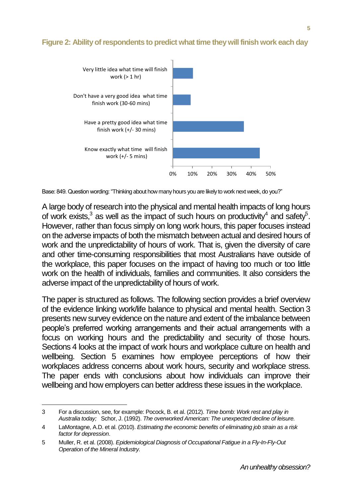#### **Figure 2: Ability of respondents to predict what time they will finish work each day**



Base: 849. Question wording: "Thinking about how many hours you are likely to work next week, do you?"

A large body of research into the physical and mental health impacts of long hours of work exists,  $3$  as well as the impact of such hours on productivity  $4$  and safety  $5$ . However, rather than focus simply on long work hours, this paper focuses instead on the adverse impacts of both the mismatch between actual and desired hours of work and the unpredictability of hours of work. That is, given the diversity of care and other time-consuming responsibilities that most Australians have outside of the workplace, this paper focuses on the impact of having too much or too little work on the health of individuals, families and communities. It also considers the adverse impact of the unpredictability of hours of work.

The paper is structured as follows. The following section provides a brief overview of the evidence linking work/life balance to physical and mental health. Section 3 presents new survey evidence on the nature and extent of the imbalance between people's preferred working arrangements and their actual arrangements with a focus on working hours and the predictability and security of those hours. Sections 4 looks at the impact of work hours and workplace culture on health and wellbeing. Section 5 examines how employee perceptions of how their workplaces address concerns about work hours, security and workplace stress. The paper ends with conclusions about how individuals can improve their wellbeing and how employers can better address these issues in the workplace.

l

<sup>3</sup> For a discussion, see, for example: Pocock, B. et al. (2012). *Time bomb: Work rest and play in Australia today;* Schor, J. (1992). *The overworked American: The unexpected decline of leisure.*

<sup>4</sup> LaMontagne, A.D. et al. (2010). *Estimating the economic benefits of eliminating job strain as a risk factor for depression*.

<sup>5</sup> Muller, R. et al. (2008). *Epidemiological Diagnosis of Occupational Fatigue in a Fly-In-Fly-Out Operation of the Mineral Industry.*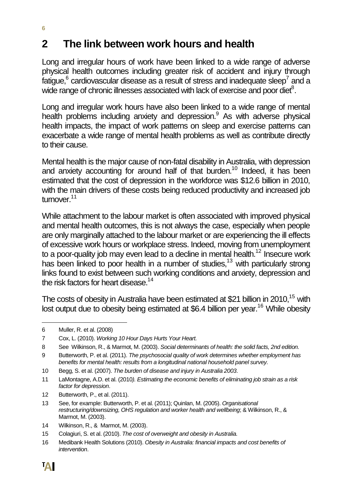# <span id="page-9-0"></span>**2 The link between work hours and health**

Long and irregular hours of work have been linked to a wide range of adverse physical health outcomes including greater risk of accident and injury through fatigue, $^6$  cardiovascular disease as a result of stress and inadequate sleep<sup>7</sup> and a wide range of chronic illnesses associated with lack of exercise and poor diet $^8$ .

Long and irregular work hours have also been linked to a wide range of mental health problems including anxiety and depression.<sup>9</sup> As with adverse physical health impacts, the impact of work patterns on sleep and exercise patterns can exacerbate a wide range of mental health problems as well as contribute directly to their cause.

Mental health is the major cause of non-fatal disability in Australia, with depression and anxiety accounting for around half of that burden.<sup>10</sup> Indeed, it has been estimated that the cost of depression in the workforce was \$12.6 billion in 2010, with the main drivers of these costs being reduced productivity and increased job turnover<sup>11</sup>

While attachment to the labour market is often associated with improved physical and mental health outcomes, this is not always the case, especially when people are only marginally attached to the labour market or are experiencing the ill effects of excessive work hours or workplace stress. Indeed, moving from unemployment to a poor-quality job may even lead to a decline in mental health.<sup>12</sup> Insecure work has been linked to poor health in a number of studies,<sup>13</sup> with particularly strong links found to exist between such working conditions and anxiety, depression and the risk factors for heart disease.<sup>14</sup>

The costs of obesity in Australia have been estimated at \$21 billion in 2010,<sup>15</sup> with lost output due to obesity being estimated at \$6.4 billion per year.<sup>16</sup> While obesity

l 6 Muller, R. et al. (2008)

<sup>7</sup> Cox, L. (2010). *Working 10 Hour Days Hurts Your Heart.*

<sup>8</sup> See Wilkinson, R., & Marmot, M. (2003). *Social determinants of health: the solid facts, 2nd edition.*

<sup>9</sup> Butterworth, P. et al. (2011). *The psychosocial quality of work determines whether employment has benefits for mental health: results from a longitudinal national household panel survey.*

<sup>10</sup> Begg, S. et al. (2007). *The burden of disease and injury in Australia 2003*.

<sup>11</sup> LaMontagne, A.D. et al. (2010*). Estimating the economic benefits of eliminating job strain as a risk factor for depression*.

<sup>12</sup> Butterworth, P., et al. (2011).

<sup>13</sup> See, for example: Butterworth, P. et al. (2011); Quinlan, M. (2005). *Organisational restructuring/downsizing, OHS regulation and worker health and wellbeing*; & Wilkinson, R., & Marmot, M. (2003).

<sup>14</sup> Wilkinson, R., & Marmot, M. (2003).

<sup>15</sup> Colagiuri, S. et al. (2010). *The cost of overweight and obesity in Australia.*

<sup>16</sup> Medibank Health Solutions (2010). *Obesity in Australia: financial impacts and cost benefits of intervention*.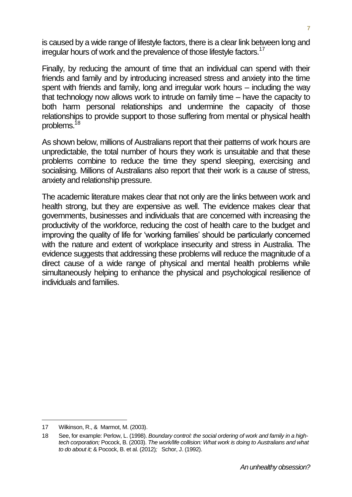is caused by a wide range of lifestyle factors, there is a clear link between long and irregular hours of work and the prevalence of those lifestyle factors.<sup>17</sup>

Finally, by reducing the amount of time that an individual can spend with their friends and family and by introducing increased stress and anxiety into the time spent with friends and family, long and irregular work hours – including the way that technology now allows work to intrude on family time – have the capacity to both harm personal relationships and undermine the capacity of those relationships to provide support to those suffering from mental or physical health problems.<sup>18</sup>

As shown below, millions of Australians report that their patterns of work hours are unpredictable, the total number of hours they work is unsuitable and that these problems combine to reduce the time they spend sleeping, exercising and socialising. Millions of Australians also report that their work is a cause of stress, anxiety and relationship pressure.

The academic literature makes clear that not only are the links between work and health strong, but they are expensive as well. The evidence makes clear that governments, businesses and individuals that are concerned with increasing the productivity of the workforce, reducing the cost of health care to the budget and improving the quality of life for 'working families' should be particularly concerned with the nature and extent of workplace insecurity and stress in Australia. The evidence suggests that addressing these problems will reduce the magnitude of a direct cause of a wide range of physical and mental health problems while simultaneously helping to enhance the physical and psychological resilience of individuals and families.

 $\overline{a}$ 

<sup>17</sup> Wilkinson, R., & Marmot, M. (2003).

<sup>18</sup> See, for example: Perlow, L. (1998). *Boundary control: the social ordering of work and family in a hightech corporation;* Pocock, B. (2003). *The work/life collision: What work is doing to Australians and what to do about it;* & Pocock, B. et al. (2012)*;* Schor, J. (1992).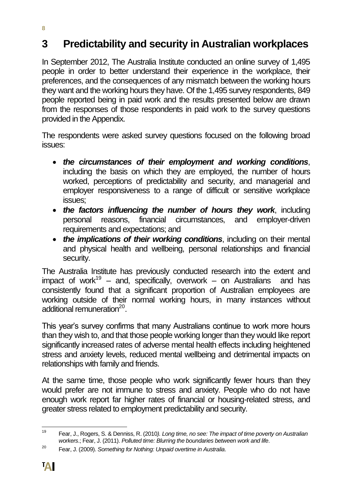# <span id="page-11-0"></span>**3 Predictability and security in Australian workplaces**

In September 2012, The Australia Institute conducted an online survey of 1,495 people in order to better understand their experience in the workplace, their preferences, and the consequences of any mismatch between the working hours they want and the working hours they have. Of the 1,495 survey respondents, 849 people reported being in paid work and the results presented below are drawn from the responses of those respondents in paid work to the survey questions provided in the Appendix.

The respondents were asked survey questions focused on the following broad issues:

- *the circumstances of their employment and working conditions*, including the basis on which they are employed, the number of hours worked, perceptions of predictability and security, and managerial and employer responsiveness to a range of difficult or sensitive workplace issues;
- *the factors influencing the number of hours they work*, including personal reasons, financial circumstances, and employer-driven requirements and expectations; and
- *the implications of their working conditions*, including on their mental and physical health and wellbeing, personal relationships and financial security.

The Australia Institute has previously conducted research into the extent and impact of work<sup>19</sup> – and, specifically, overwork – on Australians and has consistently found that a significant proportion of Australian employees are working outside of their normal working hours, in many instances without additional remuneration<sup>20</sup>.

This year's survey confirms that many Australians continue to work more hours than they wish to, and that those people working longer than they would like report significantly increased rates of adverse mental health effects including heightened stress and anxiety levels, reduced mental wellbeing and detrimental impacts on relationships with family and friends.

At the same time, those people who work significantly fewer hours than they would prefer are not immune to stress and anxiety. People who do not have enough work report far higher rates of financial or housing-related stress, and greater stress related to employment predictability and security.

**8**

 $10$ <sup>19</sup> Fear, J., Rogers, S. & Denniss, R. (2010*). Long time, no see: The impact of time poverty on Australian workers*.; Fear, J. (2011). *Polluted time: Blurring the boundaries between work and life*.

<sup>20</sup> Fear, J. (2009). *Something for Nothing: Unpaid overtime in Australia*.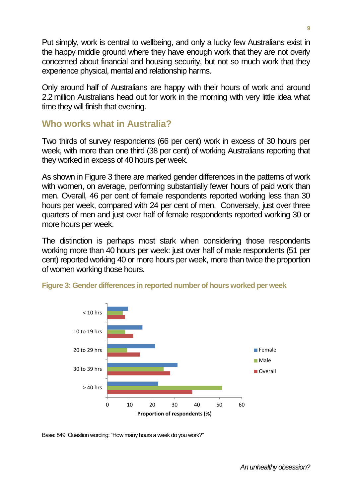Put simply, work is central to wellbeing, and only a lucky few Australians exist in the happy middle ground where they have enough work that they are not overly concerned about financial and housing security, but not so much work that they experience physical, mental and relationship harms.

Only around half of Australians are happy with their hours of work and around 2.2 million Australians head out for work in the morning with very little idea what time they will finish that evening.

#### <span id="page-12-0"></span>**Who works what in Australia?**

Two thirds of survey respondents (66 per cent) work in excess of 30 hours per week, with more than one third (38 per cent) of working Australians reporting that they worked in excess of 40 hours per week.

As shown in Figure 3 there are marked gender differences in the patterns of work with women, on average, performing substantially fewer hours of paid work than men. Overall, 46 per cent of female respondents reported working less than 30 hours per week, compared with 24 per cent of men. Conversely, just over three quarters of men and just over half of female respondents reported working 30 or more hours per week.

The distinction is perhaps most stark when considering those respondents working more than 40 hours per week: just over half of male respondents (51 per cent) reported working 40 or more hours per week, more than twice the proportion of women working those hours.



**Figure 3: Gender differences in reported number of hours worked per week**

Base: 849. Question wording: "How many hours a week do you work?"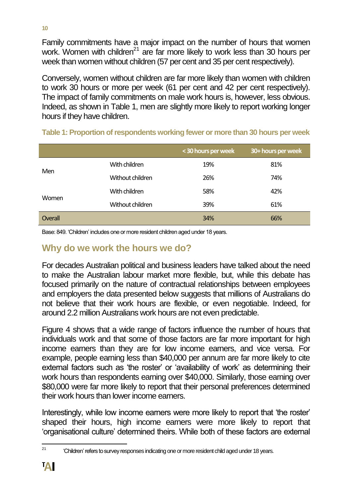Family commitments have a major impact on the number of hours that women work. Women with children<sup>21</sup> are far more likely to work less than 30 hours per week than women without children (57 per cent and 35 per cent respectively).

Conversely, women without children are far more likely than women with children to work 30 hours or more per week (61 per cent and 42 per cent respectively). The impact of family commitments on male work hours is, however, less obvious. Indeed, as shown in Table 1, men are slightly more likely to report working longer hours if they have children.

|         |                  | < 30 hours per week | 30+ hours per week |
|---------|------------------|---------------------|--------------------|
| Men     | With children    | 19%                 | 81%                |
|         | Without children | 26%                 | 74%                |
|         | With children    | 58%                 | 42%                |
| Women   | Without children | 39%                 | 61%                |
| Overall |                  | 34%                 | 66%                |

| Table 1: Proportion of respondents working fewer or more than 30 hours per week |  |  |  |  |
|---------------------------------------------------------------------------------|--|--|--|--|
|---------------------------------------------------------------------------------|--|--|--|--|

Base: 849. 'Children' includes one or more resident children aged under 18 years.

#### <span id="page-13-0"></span>**Why do we work the hours we do?**

For decades Australian political and business leaders have talked about the need to make the Australian labour market more flexible, but, while this debate has focused primarily on the nature of contractual relationships between employees and employers the data presented below suggests that millions of Australians do not believe that their work hours are flexible, or even negotiable. Indeed, for around 2.2 million Australians work hours are not even predictable.

Figure 4 shows that a wide range of factors influence the number of hours that individuals work and that some of those factors are far more important for high income earners than they are for low income earners, and vice versa. For example, people earning less than \$40,000 per annum are far more likely to cite external factors such as 'the roster' or 'availability of work' as determining their work hours than respondents earning over \$40,000. Similarly, those earning over \$80,000 were far more likely to report that their personal preferences determined their work hours than lower income earners.

Interestingly, while low income earners were more likely to report that 'the roster' shaped their hours, high income earners were more likely to report that 'organisational culture' determined theirs. While both of these factors are external

 $21$ 'Children' refers to survey responses indicating one or more resident child aged under 18 years.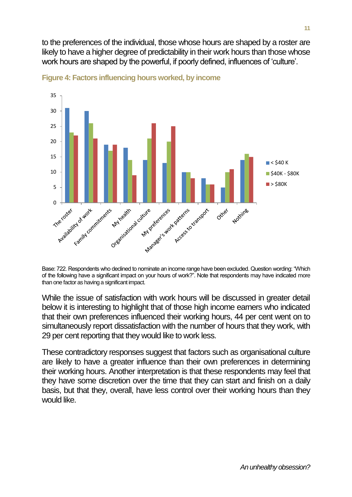to the preferences of the individual, those whose hours are shaped by a roster are likely to have a higher degree of predictability in their work hours than those whose work hours are shaped by the powerful, if poorly defined, influences of 'culture'.





Base: 722. Respondents who declined to nominate an income range have been excluded. Question wording: "Which of the following have a significant impact on your hours of work?". Note that respondents may have indicated more than one factor as having a significant impact.

While the issue of satisfaction with work hours will be discussed in greater detail below it is interesting to highlight that of those high income earners who indicated that their own preferences influenced their working hours, 44 per cent went on to simultaneously report dissatisfaction with the number of hours that they work, with 29 per cent reporting that they would like to work less.

These contradictory responses suggest that factors such as organisational culture are likely to have a greater influence than their own preferences in determining their working hours. Another interpretation is that these respondents may feel that they have some discretion over the time that they can start and finish on a daily basis, but that they, overall, have less control over their working hours than they would like.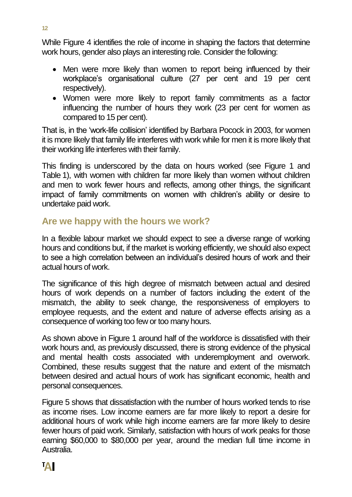While Figure 4 identifies the role of income in shaping the factors that determine work hours, gender also plays an interesting role. Consider the following:

- Men were more likely than women to report being influenced by their workplace's organisational culture (27 per cent and 19 per cent respectively).
- Women were more likely to report family commitments as a factor influencing the number of hours they work (23 per cent for women as compared to 15 per cent).

That is, in the 'work-life collision' identified by Barbara Pocock in 2003, for women it is more likely that family life interferes with work while for men it is more likely that their working life interferes with their family.

This finding is underscored by the data on hours worked (see Figure 1 and Table 1), with women with children far more likely than women without children and men to work fewer hours and reflects, among other things, the significant impact of family commitments on women with children's ability or desire to undertake paid work.

#### <span id="page-15-0"></span>**Are we happy with the hours we work?**

In a flexible labour market we should expect to see a diverse range of working hours and conditions but, if the market is working efficiently, we should also expect to see a high correlation between an individual's desired hours of work and their actual hours of work.

The significance of this high degree of mismatch between actual and desired hours of work depends on a number of factors including the extent of the mismatch, the ability to seek change, the responsiveness of employers to employee requests, and the extent and nature of adverse effects arising as a consequence of working too few or too many hours.

As shown above in Figure 1 around half of the workforce is dissatisfied with their work hours and, as previously discussed, there is strong evidence of the physical and mental health costs associated with underemployment and overwork. Combined, these results suggest that the nature and extent of the mismatch between desired and actual hours of work has significant economic, health and personal consequences.

Figure 5 shows that dissatisfaction with the number of hours worked tends to rise as income rises. Low income earners are far more likely to report a desire for additional hours of work while high income earners are far more likely to desire fewer hours of paid work. Similarly, satisfaction with hours of work peaks for those earning \$60,000 to \$80,000 per year, around the median full time income in Australia.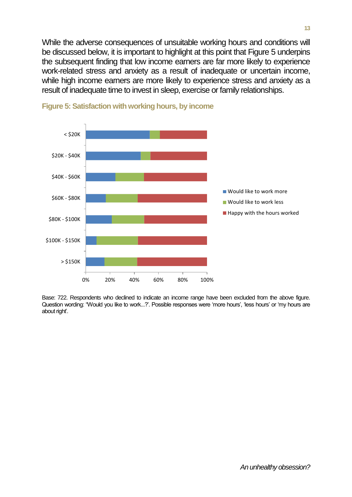While the adverse consequences of unsuitable working hours and conditions will be discussed below, it is important to highlight at this point that Figure 5 underpins the subsequent finding that low income earners are far more likely to experience work-related stress and anxiety as a result of inadequate or uncertain income, while high income earners are more likely to experience stress and anxiety as a result of inadequate time to invest in sleep, exercise or family relationships.





Base: 722. Respondents who declined to indicate an income range have been excluded from the above figure. Question wording: "Would you like to work...?'. Possible responses were 'more hours', 'less hours' or 'my hours are about right'.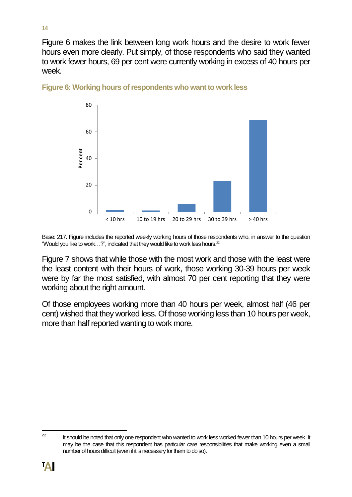Figure 6 makes the link between long work hours and the desire to work fewer hours even more clearly. Put simply, of those respondents who said they wanted to work fewer hours, 69 per cent were currently working in excess of 40 hours per week.



**Figure 6: Working hours of respondents who want to work less**

Base: 217. Figure includes the reported weekly working hours of those respondents who, in answer to the question "Would you like to work...?", indicated that they would like to work less hours.<sup>22</sup>

Figure 7 shows that while those with the most work and those with the least were the least content with their hours of work, those working 30-39 hours per week were by far the most satisfied, with almost 70 per cent reporting that they were working about the right amount.

Of those employees working more than 40 hours per week, almost half (46 per cent) wished that they worked less. Of those working less than 10 hours per week, more than half reported wanting to work more.

<sup>22</sup> It should be noted that only one respondent who wanted to work less worked fewer than 10 hours per week. It may be the case that this respondent has particular care responsibilities that make working even a small number of hours difficult (even if it is necessary for them to do so).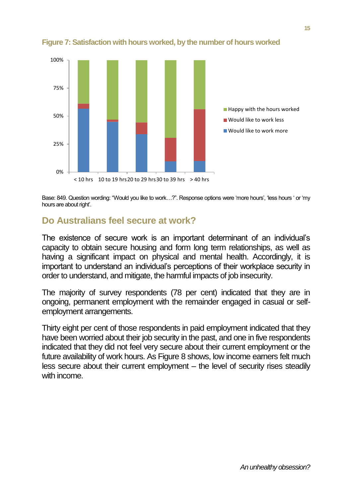

**Figure 7: Satisfaction with hours worked, by the number of hours worked**

Base: 849. Question wording: "Would you like to work…?". Response options were 'more hours', 'less hours ' or 'my hours are about right'.

#### <span id="page-18-0"></span>**Do Australians feel secure at work?**

The existence of secure work is an important determinant of an individual's capacity to obtain secure housing and form long term relationships, as well as having a significant impact on physical and mental health. Accordingly, it is important to understand an individual's perceptions of their workplace security in order to understand, and mitigate, the harmful impacts of job insecurity.

The majority of survey respondents (78 per cent) indicated that they are in ongoing, permanent employment with the remainder engaged in casual or selfemployment arrangements.

Thirty eight per cent of those respondents in paid employment indicated that they have been worried about their job security in the past, and one in five respondents indicated that they did not feel very secure about their current employment or the future availability of work hours. As Figure 8 shows, low income earners felt much less secure about their current employment – the level of security rises steadily with income.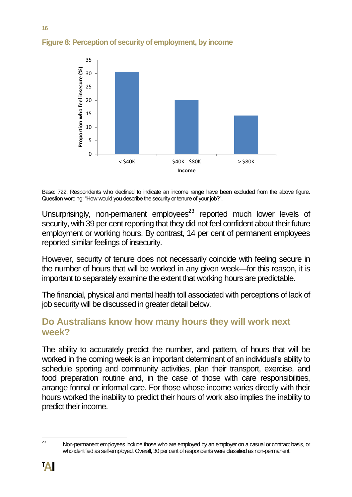

#### **Figure 8: Perception of security of employment, by income**

Base: 722. Respondents who declined to indicate an income range have been excluded from the above figure. Question wording: "How would you describe the security or tenure of your job?".

Unsurprisingly, non-permanent employees<sup>23</sup> reported much lower levels of security, with 39 per cent reporting that they did not feel confident about their future employment or working hours. By contrast, 14 per cent of permanent employees reported similar feelings of insecurity.

However, security of tenure does not necessarily coincide with feeling secure in the number of hours that will be worked in any given week—for this reason, it is important to separately examine the extent that working hours are predictable.

The financial, physical and mental health toll associated with perceptions of lack of job security will be discussed in greater detail below.

#### <span id="page-19-0"></span>**Do Australians know how many hours they will work next week?**

The ability to accurately predict the number, and pattern, of hours that will be worked in the coming week is an important determinant of an individual's ability to schedule sporting and community activities, plan their transport, exercise, and food preparation routine and, in the case of those with care responsibilities, arrange formal or informal care. For those whose income varies directly with their hours worked the inability to predict their hours of work also implies the inability to predict their income.

**16**

<sup>23</sup> Non-permanent employees include those who are employed by an employer on a casual or contract basis, or who identified as self-employed. Overall, 30 per cent of respondents were classified as non-permanent.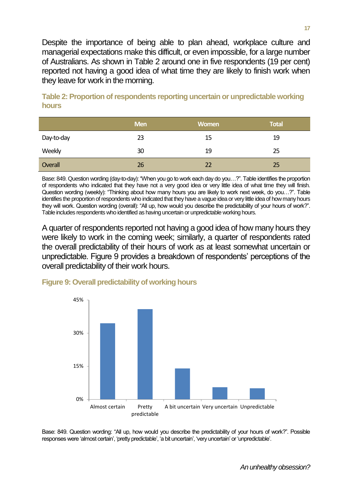Despite the importance of being able to plan ahead, workplace culture and managerial expectations make this difficult, or even impossible, for a large number of Australians. As shown in Table 2 around one in five respondents (19 per cent) reported not having a good idea of what time they are likely to finish work when they leave for work in the morning.

|            | <b>Men</b> | <b>Women</b> | Total |
|------------|------------|--------------|-------|
| Day-to-day | 23         | 15           | 19    |
| Weekly     | 30         | 19           | 25    |
| Overall    | 26         | 22           | 25    |

**Table 2: Proportion of respondents reporting uncertain or unpredictable working hours**

Base: 849. Question wording (day-to-day): "When you go to work each day do you…?". Table identifies the proportion of respondents who indicated that they have not a very good idea or very little idea of what time they will finish. Question wording (weekly): "Thinking about how many hours you are likely to work next week, do you…?". Table identifies the proportion of respondents who indicated that they have a vague idea or very little idea of how many hours they will work. Question wording (overall): "All up, how would you describe the predictability of your hours of work?". Table includes respondents who identified as having uncertain or unpredictable working hours.

A quarter of respondents reported not having a good idea of how many hours they were likely to work in the coming week; similarly, a quarter of respondents rated the overall predictability of their hours of work as at least somewhat uncertain or unpredictable. Figure 9 provides a breakdown of respondents' perceptions of the overall predictability of their work hours.

# 0% 15% 30% 45% Almost certain Pretty predictable A bit uncertain Very uncertain Unpredictable

#### **Figure 9: Overall predictability of working hours**

Base: 849. Question wording: "All up, how would you describe the predictability of your hours of work?". Possible responses were 'almost certain', 'pretty predictable', 'a bit uncertain', 'very uncertain' or 'unpredictable'.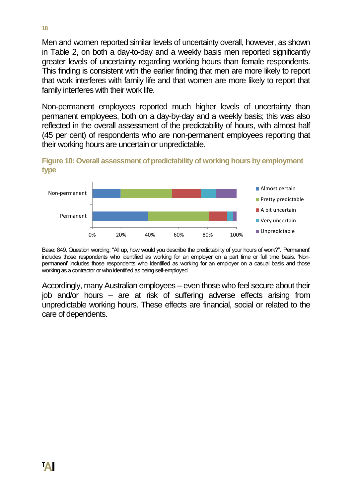Men and women reported similar levels of uncertainty overall, however, as shown in Table 2, on both a day-to-day and a weekly basis men reported significantly greater levels of uncertainty regarding working hours than female respondents. This finding is consistent with the earlier finding that men are more likely to report that work interferes with family life and that women are more likely to report that family interferes with their work life.

Non-permanent employees reported much higher levels of uncertainty than permanent employees, both on a day-by-day and a weekly basis; this was also reflected in the overall assessment of the predictability of hours, with almost half (45 per cent) of respondents who are non-permanent employees reporting that their working hours are uncertain or unpredictable.

**Figure 10: Overall assessment of predictability of working hours by employment type**



Base: 849. Question wording: "All up, how would you describe the predictability of your hours of work?". 'Permanent' includes those respondents who identified as working for an employer on a part time or full time basis. 'Nonpermanent' includes those respondents who identified as working for an employer on a casual basis and those working as a contractor or who identified as being self-employed.

Accordingly, many Australian employees – even those who feel secure about their job and/or hours – are at risk of suffering adverse effects arising from unpredictable working hours. These effects are financial, social or related to the care of dependents.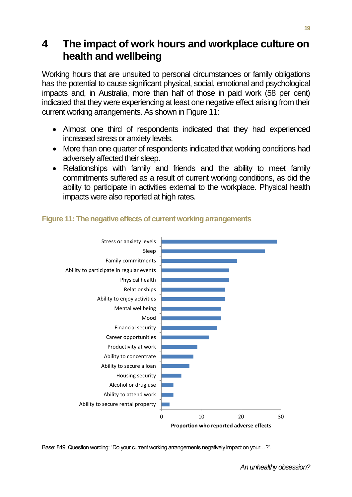### <span id="page-22-0"></span>**4 The impact of work hours and workplace culture on health and wellbeing**

Working hours that are unsuited to personal circumstances or family obligations has the potential to cause significant physical, social, emotional and psychological impacts and, in Australia, more than half of those in paid work (58 per cent) indicated that they were experiencing at least one negative effect arising from their current working arrangements. As shown in Figure 11:

- Almost one third of respondents indicated that they had experienced increased stress or anxiety levels.
- More than one quarter of respondents indicated that working conditions had adversely affected their sleep.
- Relationships with family and friends and the ability to meet family commitments suffered as a result of current working conditions, as did the ability to participate in activities external to the workplace. Physical health impacts were also reported at high rates.



#### **Figure 11: The negative effects of current working arrangements**

Base: 849. Question wording: "Do your current working arrangements negatively impact on your…?".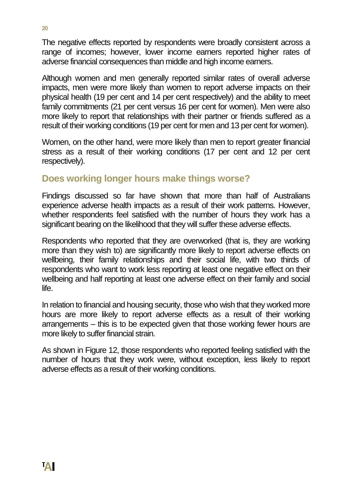The negative effects reported by respondents were broadly consistent across a range of incomes; however, lower income earners reported higher rates of adverse financial consequences than middle and high income earners.

Although women and men generally reported similar rates of overall adverse impacts, men were more likely than women to report adverse impacts on their physical health (19 per cent and 14 per cent respectively) and the ability to meet family commitments (21 per cent versus 16 per cent for women). Men were also more likely to report that relationships with their partner or friends suffered as a result of their working conditions (19 per cent for men and 13 per cent for women).

Women, on the other hand, were more likely than men to report greater financial stress as a result of their working conditions (17 per cent and 12 per cent respectively).

#### <span id="page-23-0"></span>**Does working longer hours make things worse?**

Findings discussed so far have shown that more than half of Australians experience adverse health impacts as a result of their work patterns. However, whether respondents feel satisfied with the number of hours they work has a significant bearing on the likelihood that they will suffer these adverse effects.

Respondents who reported that they are overworked (that is, they are working more than they wish to) are significantly more likely to report adverse effects on wellbeing, their family relationships and their social life, with two thirds of respondents who want to work less reporting at least one negative effect on their wellbeing and half reporting at least one adverse effect on their family and social life.

In relation to financial and housing security, those who wish that they worked more hours are more likely to report adverse effects as a result of their working arrangements – this is to be expected given that those working fewer hours are more likely to suffer financial strain.

As shown in Figure 12, those respondents who reported feeling satisfied with the number of hours that they work were, without exception, less likely to report adverse effects as a result of their working conditions.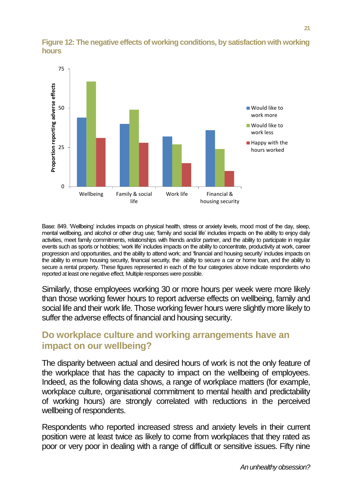

#### **Figure 12: The negative effects of working conditions, by satisfaction with working hours**

Base: 849. 'Wellbeing' includes impacts on physical health, stress or anxiety levels, mood most of the day, sleep, mental wellbeing, and alcohol or other drug use; 'family and social life' includes impacts on the ability to enjoy daily activities, meet family commitments, relationships with friends and/or partner, and the ability to participate in regular events such as sports or hobbies; 'work life' includes impacts on the ability to concentrate, productivity at work, career progression and opportunities, and the ability to attend work; and 'financial and housing security' includes impacts on the ability to ensure housing security, financial security, the ability to secure a car or home loan, and the ability to secure a rental property. These figures represented in each of the four categories above indicate respondents who reported at least one negative effect. Multiple responses were possible.

Similarly, those employees working 30 or more hours per week were more likely than those working fewer hours to report adverse effects on wellbeing, family and social life and their work life. Those working fewer hours were slightly more likely to suffer the adverse effects of financial and housing security.

#### <span id="page-24-0"></span>**Do workplace culture and working arrangements have an impact on our wellbeing?**

The disparity between actual and desired hours of work is not the only feature of the workplace that has the capacity to impact on the wellbeing of employees. Indeed, as the following data shows, a range of workplace matters (for example, workplace culture, organisational commitment to mental health and predictability of working hours) are strongly correlated with reductions in the perceived wellbeing of respondents.

Respondents who reported increased stress and anxiety levels in their current position were at least twice as likely to come from workplaces that they rated as poor or very poor in dealing with a range of difficult or sensitive issues. Fifty nine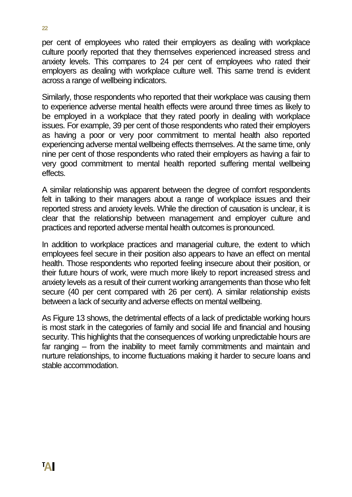per cent of employees who rated their employers as dealing with workplace culture poorly reported that they themselves experienced increased stress and anxiety levels. This compares to 24 per cent of employees who rated their employers as dealing with workplace culture well. This same trend is evident across a range of wellbeing indicators.

Similarly, those respondents who reported that their workplace was causing them to experience adverse mental health effects were around three times as likely to be employed in a workplace that they rated poorly in dealing with workplace issues. For example, 39 per cent of those respondents who rated their employers as having a poor or very poor commitment to mental health also reported experiencing adverse mental wellbeing effects themselves. At the same time, only nine per cent of those respondents who rated their employers as having a fair to very good commitment to mental health reported suffering mental wellbeing effects.

A similar relationship was apparent between the degree of comfort respondents felt in talking to their managers about a range of workplace issues and their reported stress and anxiety levels. While the direction of causation is unclear, it is clear that the relationship between management and employer culture and practices and reported adverse mental health outcomes is pronounced.

In addition to workplace practices and managerial culture, the extent to which employees feel secure in their position also appears to have an effect on mental health. Those respondents who reported feeling insecure about their position, or their future hours of work, were much more likely to report increased stress and anxiety levels as a result of their current working arrangements than those who felt secure (40 per cent compared with 26 per cent). A similar relationship exists between a lack of security and adverse effects on mental wellbeing.

As Figure 13 shows, the detrimental effects of a lack of predictable working hours is most stark in the categories of family and social life and financial and housing security. This highlights that the consequences of working unpredictable hours are far ranging – from the inability to meet family commitments and maintain and nurture relationships, to income fluctuations making it harder to secure loans and stable accommodation.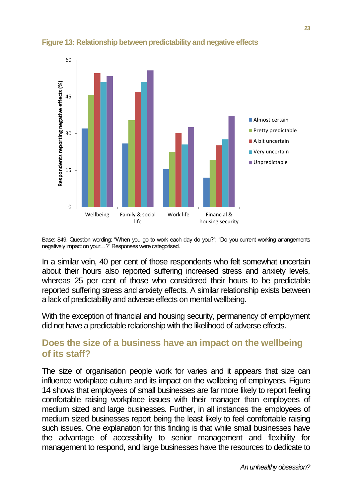

#### **Figure 13: Relationship between predictability and negative effects**

Base: 849. Question wording: "When you go to work each day do you?"; "Do you current working arrangements negatively impact on your…?" Responses were categorised.

In a similar vein, 40 per cent of those respondents who felt somewhat uncertain about their hours also reported suffering increased stress and anxiety levels, whereas 25 per cent of those who considered their hours to be predictable reported suffering stress and anxiety effects. A similar relationship exists between a lack of predictability and adverse effects on mental wellbeing.

With the exception of financial and housing security, permanency of employment did not have a predictable relationship with the likelihood of adverse effects.

#### <span id="page-26-0"></span>**Does the size of a business have an impact on the wellbeing of its staff?**

The size of organisation people work for varies and it appears that size can influence workplace culture and its impact on the wellbeing of employees. Figure 14 shows that employees of small businesses are far more likely to report feeling comfortable raising workplace issues with their manager than employees of medium sized and large businesses. Further, in all instances the employees of medium sized businesses report being the least likely to feel comfortable raising such issues. One explanation for this finding is that while small businesses have the advantage of accessibility to senior management and flexibility for management to respond, and large businesses have the resources to dedicate to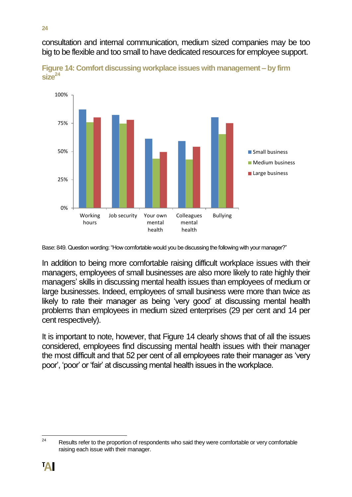consultation and internal communication, medium sized companies may be too big to be flexible and too small to have dedicated resources for employee support.





In addition to being more comfortable raising difficult workplace issues with their managers, employees of small businesses are also more likely to rate highly their managers' skills in discussing mental health issues than employees of medium or large businesses. Indeed, employees of small business were more than twice as likely to rate their manager as being 'very good' at discussing mental health problems than employees in medium sized enterprises (29 per cent and 14 per cent respectively).

It is important to note, however, that Figure 14 clearly shows that of all the issues considered, employees find discussing mental health issues with their manager the most difficult and that 52 per cent of all employees rate their manager as 'very poor', 'poor' or 'fair' at discussing mental health issues in the workplace.

Base: 849. Question wording: "How comfortable would you be discussing the following with your manager?"

<sup>24</sup> Results refer to the proportion of respondents who said they were comfortable or very comfortable raising each issue with their manager.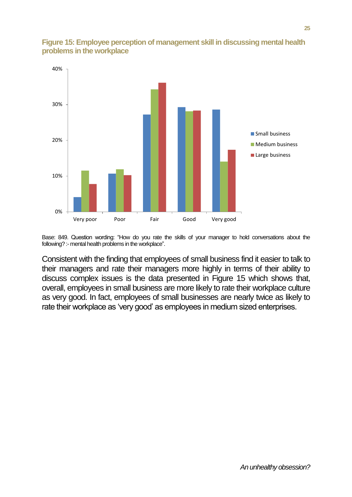

#### **Figure 15: Employee perception of management skill in discussing mental health problems in the workplace**

Base: 849. Question wording: "How do you rate the skills of your manager to hold conversations about the following? :- mental health problems in the workplace".

Consistent with the finding that employees of small business find it easier to talk to their managers and rate their managers more highly in terms of their ability to discuss complex issues is the data presented in Figure 15 which shows that, overall, employees in small business are more likely to rate their workplace culture as very good. In fact, employees of small businesses are nearly twice as likely to rate their workplace as 'very good' as employees in medium sized enterprises.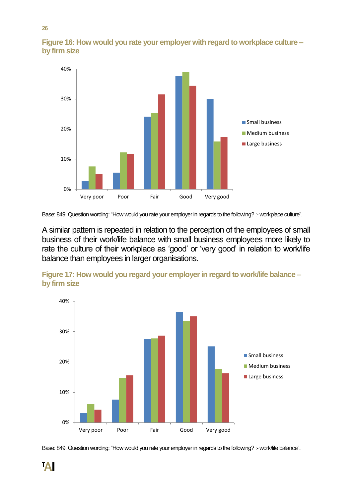

**Figure 16: How would you rate your employer with regard to workplace culture – by firm size**

Base: 849. Question wording: "How would you rate your employer in regards to the following? :- workplace culture".

A similar pattern is repeated in relation to the perception of the employees of small business of their work/life balance with small business employees more likely to rate the culture of their workplace as 'good' or 'very good' in relation to work/life balance than employees in larger organisations.



**Figure 17: How would you regard your employer in regard to work/life balance – by firm size**

Base: 849. Question wording: "How would you rate your employer in regards to the following? :- work/life balance".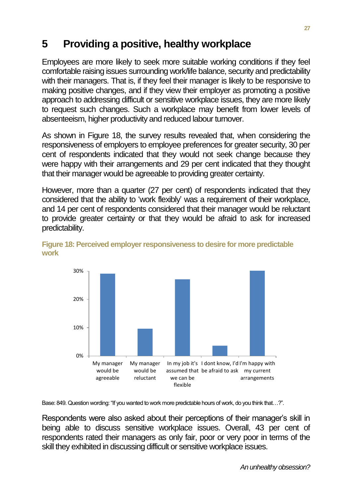# <span id="page-30-0"></span>**5 Providing a positive, healthy workplace**

Employees are more likely to seek more suitable working conditions if they feel comfortable raising issues surrounding work/life balance, security and predictability with their managers. That is, if they feel their manager is likely to be responsive to making positive changes, and if they view their employer as promoting a positive approach to addressing difficult or sensitive workplace issues, they are more likely to request such changes. Such a workplace may benefit from lower levels of absenteeism, higher productivity and reduced labour turnover.

As shown in Figure 18, the survey results revealed that, when considering the responsiveness of employers to employee preferences for greater security, 30 per cent of respondents indicated that they would not seek change because they were happy with their arrangements and 29 per cent indicated that they thought that their manager would be agreeable to providing greater certainty.

However, more than a quarter (27 per cent) of respondents indicated that they considered that the ability to 'work flexibly' was a requirement of their workplace, and 14 per cent of respondents considered that their manager would be reluctant to provide greater certainty or that they would be afraid to ask for increased predictability.



**Figure 18: Perceived employer responsiveness to desire for more predictable work**

Base: 849. Question wording: "If you wanted to work more predictable hours of work, do you think that…?".

Respondents were also asked about their perceptions of their manager's skill in being able to discuss sensitive workplace issues. Overall, 43 per cent of respondents rated their managers as only fair, poor or very poor in terms of the skill they exhibited in discussing difficult or sensitive workplace issues.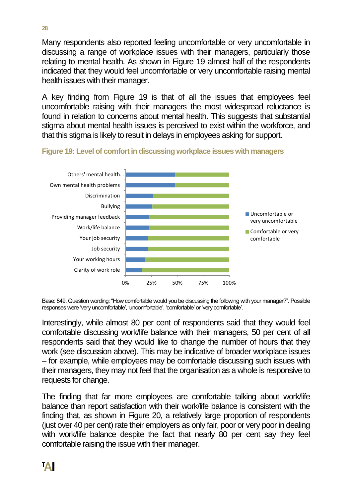Many respondents also reported feeling uncomfortable or very uncomfortable in discussing a range of workplace issues with their managers, particularly those relating to mental health. As shown in Figure 19 almost half of the respondents indicated that they would feel uncomfortable or very uncomfortable raising mental health issues with their manager.

A key finding from Figure 19 is that of all the issues that employees feel uncomfortable raising with their managers the most widespread reluctance is found in relation to concerns about mental health. This suggests that substantial stigma about mental health issues is perceived to exist within the workforce, and that this stigma is likely to result in delays in employees asking for support.





Base: 849. Question wording: "How comfortable would you be discussing the following with your manager?". Possible responses were 'very uncomfortable', 'uncomfortable', 'comfortable' or 'very comfortable'.

Interestingly, while almost 80 per cent of respondents said that they would feel comfortable discussing work/life balance with their managers, 50 per cent of all respondents said that they would like to change the number of hours that they work (see discussion above). This may be indicative of broader workplace issues – for example, while employees may be comfortable discussing such issues with their managers, they may not feel that the organisation as a whole is responsive to requests for change.

The finding that far more employees are comfortable talking about work/life balance than report satisfaction with their work/life balance is consistent with the finding that, as shown in Figure 20, a relatively large proportion of respondents (just over 40 per cent) rate their employers as only fair, poor or very poor in dealing with work/life balance despite the fact that nearly 80 per cent say they feel comfortable raising the issue with their manager.

**28**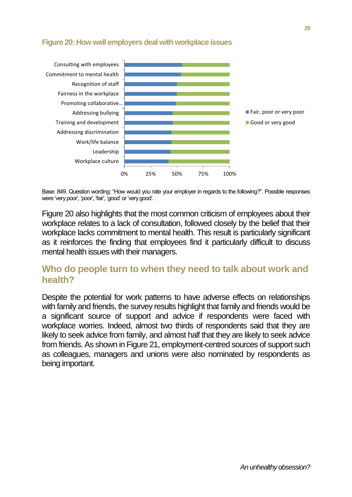

#### **Figure 20: How well employers deal with workplace issues**

Base: 849. Question wording: "How would you rate your employer in regards to the following?". Possible responses were 'very poor', 'poor', 'fair', 'good' or 'very good'.

Figure 20 also highlights that the most common criticism of employees about their workplace relates to a lack of consultation, followed closely by the belief that their workplace lacks commitment to mental health. This result is particularly significant as it reinforces the finding that employees find it particularly difficult to discuss mental health issues with their managers.

#### <span id="page-32-0"></span>**Who do people turn to when they need to talk about work and health?**

Despite the potential for work patterns to have adverse effects on relationships with family and friends, the survey results highlight that family and friends would be a significant source of support and advice if respondents were faced with workplace worries. Indeed, almost two thirds of respondents said that they are likely to seek advice from family, and almost half that they are likely to seek advice from friends. As shown in Figure 21, employment-centred sources of support such as colleagues, managers and unions were also nominated by respondents as being important.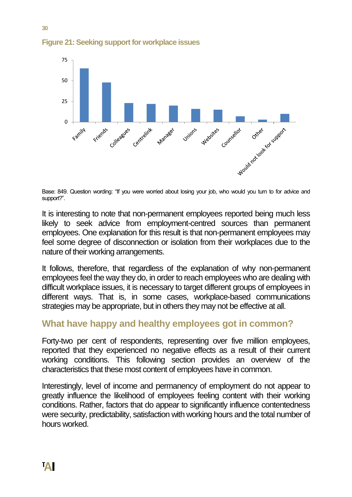

**Figure 21: Seeking support for workplace issues**

Base: 849. Question wording: "If you were worried about losing your job, who would you turn to for advice and support?".

It is interesting to note that non-permanent employees reported being much less likely to seek advice from employment-centred sources than permanent employees. One explanation for this result is that non-permanent employees may feel some degree of disconnection or isolation from their workplaces due to the nature of their working arrangements.

It follows, therefore, that regardless of the explanation of why non-permanent employees feel the way they do, in order to reach employees who are dealing with difficult workplace issues, it is necessary to target different groups of employees in different ways. That is, in some cases, workplace-based communications strategies may be appropriate, but in others they may not be effective at all.

#### <span id="page-33-0"></span>**What have happy and healthy employees got in common?**

Forty-two per cent of respondents, representing over five million employees, reported that they experienced no negative effects as a result of their current working conditions. This following section provides an overview of the characteristics that these most content of employees have in common.

Interestingly, level of income and permanency of employment do not appear to greatly influence the likelihood of employees feeling content with their working conditions. Rather, factors that do appear to significantly influence contentedness were security, predictability, satisfaction with working hours and the total number of hours worked.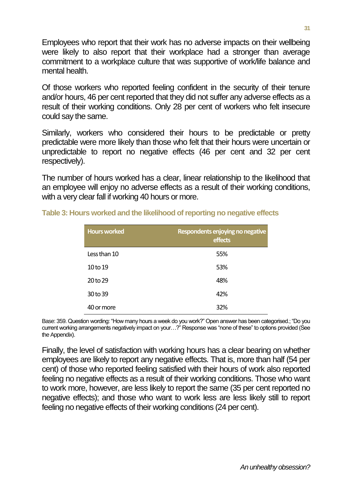Employees who report that their work has no adverse impacts on their wellbeing were likely to also report that their workplace had a stronger than average commitment to a workplace culture that was supportive of work/life balance and mental health.

Of those workers who reported feeling confident in the security of their tenure and/or hours, 46 per cent reported that they did not suffer any adverse effects as a result of their working conditions. Only 28 per cent of workers who felt insecure could say the same.

Similarly, workers who considered their hours to be predictable or pretty predictable were more likely than those who felt that their hours were uncertain or unpredictable to report no negative effects (46 per cent and 32 per cent respectively).

The number of hours worked has a clear, linear relationship to the likelihood that an employee will enjoy no adverse effects as a result of their working conditions, with a very clear fall if working 40 hours or more.

| <b>Hours worked</b> | Respondents enjoying no negative<br>effects |
|---------------------|---------------------------------------------|
| Less than 10        | 55%                                         |
| 10 to 19            | 53%                                         |
| 20 to 29            | 48%                                         |
| 30 to 39            | 42%                                         |
| 40 or more          | 32%                                         |

**Table 3: Hours worked and the likelihood of reporting no negative effects**

Base: 359. Question wording: "How many hours a week do you work?" Open answer has been categorised.; "Do you current working arrangements negatively impact on your…?" Response was "none of these" to options provided (See the Appendix).

Finally, the level of satisfaction with working hours has a clear bearing on whether employees are likely to report any negative effects. That is, more than half (54 per cent) of those who reported feeling satisfied with their hours of work also reported feeling no negative effects as a result of their working conditions. Those who want to work more, however, are less likely to report the same (35 per cent reported no negative effects); and those who want to work less are less likely still to report feeling no negative effects of their working conditions (24 per cent).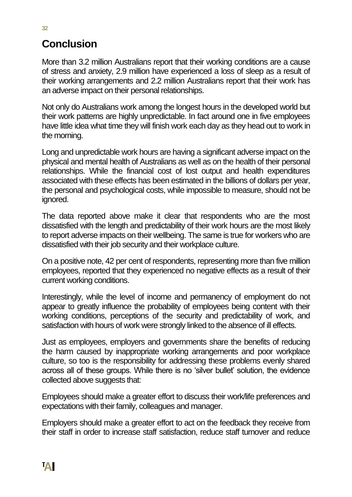# <span id="page-35-0"></span>**Conclusion**

More than 3.2 million Australians report that their working conditions are a cause of stress and anxiety, 2.9 million have experienced a loss of sleep as a result of their working arrangements and 2.2 million Australians report that their work has an adverse impact on their personal relationships.

Not only do Australians work among the longest hours in the developed world but their work patterns are highly unpredictable. In fact around one in five employees have little idea what time they will finish work each day as they head out to work in the morning.

Long and unpredictable work hours are having a significant adverse impact on the physical and mental health of Australians as well as on the health of their personal relationships. While the financial cost of lost output and health expenditures associated with these effects has been estimated in the billions of dollars per year, the personal and psychological costs, while impossible to measure, should not be ignored.

The data reported above make it clear that respondents who are the most dissatisfied with the length and predictability of their work hours are the most likely to report adverse impacts on their wellbeing. The same is true for workers who are dissatisfied with their job security and their workplace culture.

On a positive note, 42 per cent of respondents, representing more than five million employees, reported that they experienced no negative effects as a result of their current working conditions.

Interestingly, while the level of income and permanency of employment do not appear to greatly influence the probability of employees being content with their working conditions, perceptions of the security and predictability of work, and satisfaction with hours of work were strongly linked to the absence of ill effects.

Just as employees, employers and governments share the benefits of reducing the harm caused by inappropriate working arrangements and poor workplace culture, so too is the responsibility for addressing these problems evenly shared across all of these groups. While there is no 'silver bullet' solution, the evidence collected above suggests that:

Employees should make a greater effort to discuss their work/life preferences and expectations with their family, colleagues and manager.

Employers should make a greater effort to act on the feedback they receive from their staff in order to increase staff satisfaction, reduce staff turnover and reduce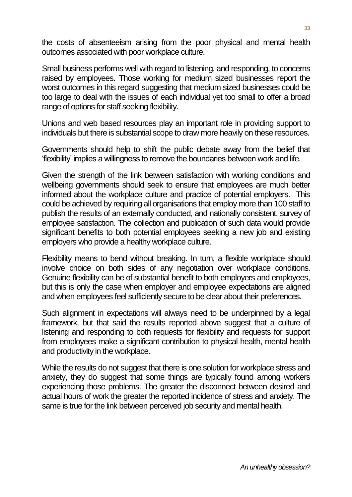the costs of absenteeism arising from the poor physical and mental health outcomes associated with poor workplace culture.

Small business performs well with regard to listening, and responding, to concerns raised by employees. Those working for medium sized businesses report the worst outcomes in this regard suggesting that medium sized businesses could be too large to deal with the issues of each individual yet too small to offer a broad range of options for staff seeking flexibility.

Unions and web based resources play an important role in providing support to individuals but there is substantial scope to draw more heavily on these resources.

Governments should help to shift the public debate away from the belief that 'flexibility' implies a willingness to remove the boundaries between work and life.

Given the strength of the link between satisfaction with working conditions and wellbeing governments should seek to ensure that employees are much better informed about the workplace culture and practice of potential employers. This could be achieved by requiring all organisations that employ more than 100 staff to publish the results of an externally conducted, and nationally consistent, survey of employee satisfaction. The collection and publication of such data would provide significant benefits to both potential employees seeking a new job and existing employers who provide a healthy workplace culture.

Flexibility means to bend without breaking. In turn, a flexible workplace should involve choice on both sides of any negotiation over workplace conditions. Genuine flexibility can be of substantial benefit to both employers and employees, but this is only the case when employer and employee expectations are aligned and when employees feel sufficiently secure to be clear about their preferences.

Such alignment in expectations will always need to be underpinned by a legal framework, but that said the results reported above suggest that a culture of listening and responding to both requests for flexibility and requests for support from employees make a significant contribution to physical health, mental health and productivity in the workplace.

While the results do not suggest that there is one solution for workplace stress and anxiety, they do suggest that some things are typically found among workers experiencing those problems. The greater the disconnect between desired and actual hours of work the greater the reported incidence of stress and anxiety. The same is true for the link between perceived job security and mental health.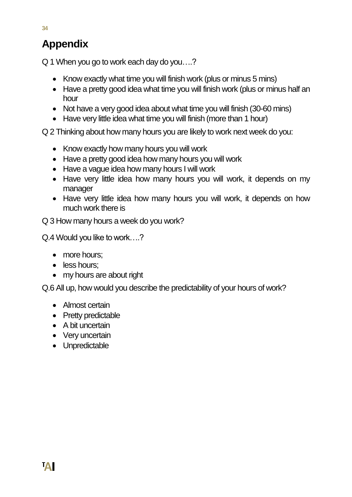# <span id="page-37-0"></span>**Appendix**

Q 1 When you go to work each day do you….?

- Know exactly what time you will finish work (plus or minus 5 mins)
- Have a pretty good idea what time you will finish work (plus or minus half an hour
- Not have a very good idea about what time you will finish (30-60 mins)
- Have very little idea what time you will finish (more than 1 hour)

Q 2 Thinking about how many hours you are likely to work next week do you:

- Know exactly how many hours you will work
- Have a pretty good idea how many hours you will work
- Have a vague idea how many hours I will work
- Have very little idea how many hours you will work, it depends on my manager
- Have very little idea how many hours you will work, it depends on how much work there is

Q 3 How many hours a week do you work?

Q.4 Would you like to work….?

- more hours;
- less hours;
- my hours are about right

Q.6 All up, how would you describe the predictability of your hours of work?

- Almost certain
- Pretty predictable
- A bit uncertain
- Very uncertain
- Unpredictable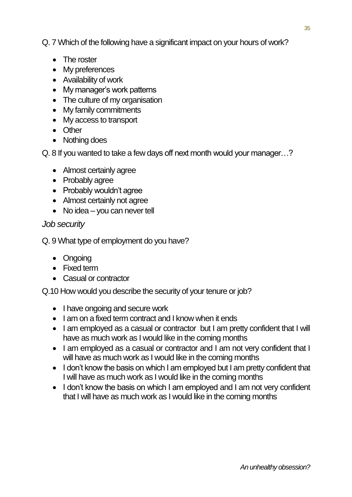Q. 7 Which of the following have a significant impact on your hours of work?

- The roster
- My preferences
- Availability of work
- My manager's work patterns
- The culture of my organisation
- My family commitments
- My access to transport
- Other
- Nothing does

Q. 8 If you wanted to take a few days off next month would your manager…?

- Almost certainly agree
- Probably agree
- Probably wouldn't agree
- Almost certainly not agree
- No idea you can never tell

#### *Job security*

Q. 9 What type of employment do you have?

- Ongoing
- Fixed term
- Casual or contractor

Q.10 How would you describe the security of your tenure or job?

- I have ongoing and secure work
- I am on a fixed term contract and I know when it ends
- I am employed as a casual or contractor but I am pretty confident that I will have as much work as I would like in the coming months
- I am employed as a casual or contractor and I am not very confident that I will have as much work as I would like in the coming months
- I don't know the basis on which I am employed but I am pretty confident that I will have as much work as I would like in the coming months
- I don't know the basis on which I am employed and I am not very confident that I will have as much work as I would like in the coming months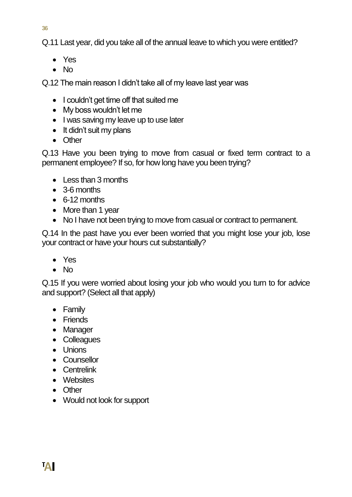**36**

Q.11 Last year, did you take all of the annual leave to which you were entitled?

- Yes
- $\bullet$  No

Q.12 The main reason I didn't take all of my leave last year was

- I couldn't get time off that suited me
- My boss wouldn't let me
- I was saving my leave up to use later
- It didn't suit my plans
- Other

Q.13 Have you been trying to move from casual or fixed term contract to a permanent employee? If so, for how long have you been trying?

- Less than 3 months
- 3-6 months
- 6-12 months
- More than 1 year
- No I have not been trying to move from casual or contract to permanent.

Q.14 In the past have you ever been worried that you might lose your job, lose your contract or have your hours cut substantially?

- Yes
- $\bullet$  No

Q.15 If you were worried about losing your job who would you turn to for advice and support? (Select all that apply)

- Family
- Friends
- Manager
- Colleagues
- Unions
- Counsellor
- **•** Centrelink
- Websites
- Other
- Would not look for support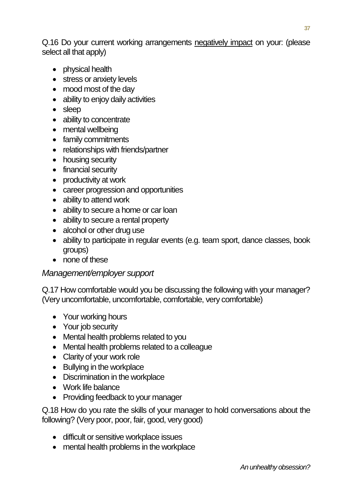Q.16 Do your current working arrangements negatively impact on your: (please select all that apply)

- physical health
- stress or anxiety levels
- mood most of the day
- ability to enjoy daily activities
- sleep
- ability to concentrate
- mental wellbeing
- family commitments
- relationships with friends/partner
- housing security
- financial security
- productivity at work
- career progression and opportunities
- ability to attend work
- ability to secure a home or car loan
- ability to secure a rental property
- alcohol or other drug use
- ability to participate in regular events (e.g. team sport, dance classes, book groups)
- none of these

#### *Management/employer support*

Q.17 How comfortable would you be discussing the following with your manager? (Very uncomfortable, uncomfortable, comfortable, very comfortable)

- Your working hours
- Your job security
- Mental health problems related to you
- Mental health problems related to a colleague
- Clarity of your work role
- Bullying in the workplace
- Discrimination in the workplace
- Work life balance
- Providing feedback to your manager

Q.18 How do you rate the skills of your manager to hold conversations about the following? (Very poor, poor, fair, good, very good)

- difficult or sensitive workplace issues
- mental health problems in the workplace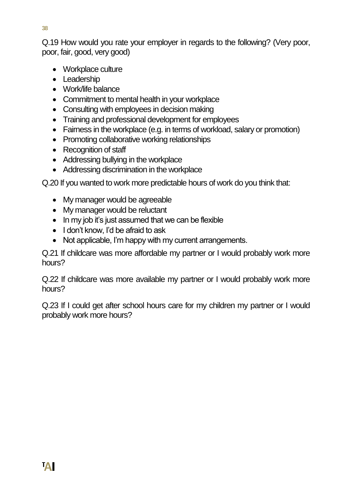Q.19 How would you rate your employer in regards to the following? (Very poor, poor, fair, good, very good)

- Workplace culture
- Leadership
- Work/life balance
- Commitment to mental health in your workplace
- Consulting with employees in decision making
- Training and professional development for employees
- Fairness in the workplace (e.g. in terms of workload, salary or promotion)
- Promoting collaborative working relationships
- Recognition of staff
- Addressing bullying in the workplace
- Addressing discrimination in the workplace

Q.20 If you wanted to work more predictable hours of work do you think that:

- My manager would be agreeable
- My manager would be reluctant
- In my job it's just assumed that we can be flexible
- I don't know. I'd be afraid to ask
- Not applicable, I'm happy with my current arrangements.

Q.21 If childcare was more affordable my partner or I would probably work more hours?

Q.22 If childcare was more available my partner or I would probably work more hours?

Q.23 If I could get after school hours care for my children my partner or I would probably work more hours?

**38**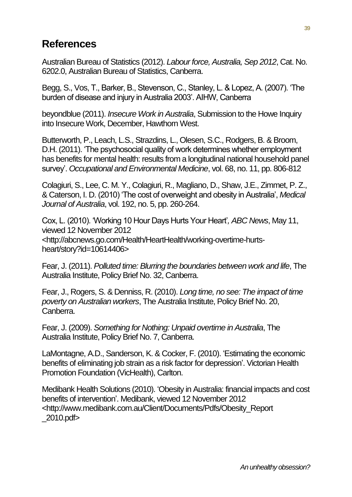### <span id="page-42-0"></span>**References**

Australian Bureau of Statistics (2012). *Labour force, Australia, Sep 2012*, Cat. No. 6202.0, Australian Bureau of Statistics, Canberra.

Begg, S., Vos, T., Barker, B., Stevenson, C., Stanley, L. & Lopez, A. (2007). 'The burden of disease and injury in Australia 2003'. AIHW, Canberra

beyondblue (2011). *Insecure Work in Australia*, Submission to the Howe Inquiry into Insecure Work, December, Hawthorn West.

Butterworth, P., Leach, L.S., Strazdins, L., Olesen, S.C., Rodgers, B. & Broom, D.H. (2011). 'The psychosocial quality of work determines whether employment has benefits for mental health: results from a longitudinal national household panel survey'. *Occupational and Environmental Medicine*, vol. 68, no. 11, pp. 806-812

Colagiuri, S., Lee, C. M. Y., Colagiuri, R., Magliano, D., Shaw, J.E., Zimmet, P. Z., & Caterson, I. D. (2010) 'The cost of overweight and obesity in Australia', *Medical Journal of Australia*, vol. 192, no. 5, pp. 260-264.

Cox, L. (2010). 'Working 10 Hour Days Hurts Your Heart'*, ABC News*, May 11, viewed 12 November 2012 <http://abcnews.go.com/Health/HeartHealth/working-overtime-hurtsheart/story?id=10614406>

Fear, J. (2011). *Polluted time: Blurring the boundaries between work and life*, The Australia Institute, Policy Brief No. 32, Canberra.

Fear, J., Rogers, S. & Denniss, R. (2010). *Long time, no see: The impact of time poverty on Australian workers*, The Australia Institute, Policy Brief No. 20, Canberra.

Fear, J. (2009). *Something for Nothing: Unpaid overtime in Australia*, The Australia Institute, Policy Brief No. 7, Canberra.

LaMontagne, A.D., Sanderson, K. & Cocker, F. (2010). 'Estimating the economic benefits of eliminating job strain as a risk factor for depression'. Victorian Health Promotion Foundation (VicHealth), Carlton.

Medibank Health Solutions (2010). 'Obesity in Australia: financial impacts and cost benefits of intervention'. Medibank, viewed 12 November 2012 <http://www.medibank.com.au/Client/Documents/Pdfs/Obesity\_Report \_2010.pdf>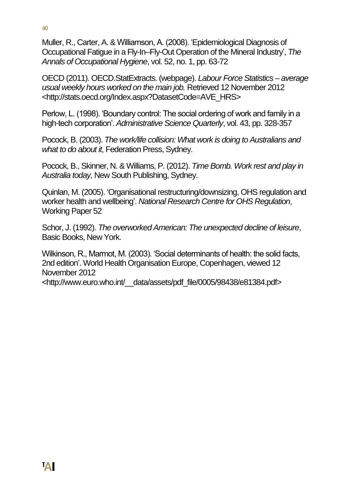**40**

Muller, R., Carter, A. & Williamson, A. (2008). 'Epidemiological Diagnosis of Occupational Fatigue in a Fly-In–Fly-Out Operation of the Mineral Industry', *The Annals of Occupational Hygiene*, vol. 52, no. 1, pp. 63-72

OECD (2011). OECD.StatExtracts. (webpage). *Labour Force Statistics – average usual weekly hours worked on the main job.* Retrieved 12 November 2012 <http://stats.oecd.org/Index.aspx?DatasetCode=AVE\_HRS>

Perlow, L. (1998). 'Boundary control: The social ordering of work and family in a high-tech corporation'. *Administrative Science Quarterly*, vol. 43, pp. 328-357

Pocock, B. (2003). *The work/life collision: What work is doing to Australians and what to do about it*, Federation Press, Sydney.

Pocock, B., Skinner, N. & Williams, P. (2012). *Time Bomb. Work rest and play in Australia today,* New South Publishing, Sydney.

Quinlan, M. (2005). 'Organisational restructuring/downsizing, OHS regulation and worker health and wellbeing'. *National Research Centre for OHS Regulation*, Working Paper 52

Schor, J. (1992). *The overworked American: The unexpected decline of leisure*, Basic Books, New York.

Wilkinson, R., Marmot, M. (2003). 'Social determinants of health: the solid facts, 2nd edition'. World Health Organisation Europe, Copenhagen, viewed 12 November 2012 <http://www.euro.who.int/\_\_data/assets/pdf\_file/0005/98438/e81384.pdf>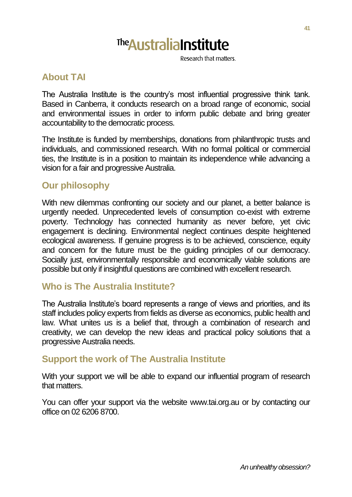# **The Australia Institute**

Research that matters

#### **About TAI**

The Australia Institute is the country's most influential progressive think tank. Based in Canberra, it conducts research on a broad range of economic, social and environmental issues in order to inform public debate and bring greater accountability to the democratic process.

The Institute is funded by memberships, donations from philanthropic trusts and individuals, and commissioned research. With no formal political or commercial ties, the Institute is in a position to maintain its independence while advancing a vision for a fair and progressive Australia.

#### **Our philosophy**

With new dilemmas confronting our society and our planet, a better balance is urgently needed. Unprecedented levels of consumption co-exist with extreme poverty. Technology has connected humanity as never before, yet civic engagement is declining. Environmental neglect continues despite heightened ecological awareness. If genuine progress is to be achieved, conscience, equity and concern for the future must be the guiding principles of our democracy. Socially just, environmentally responsible and economically viable solutions are possible but only if insightful questions are combined with excellent research.

#### **Who is The Australia Institute?**

The Australia Institute's board represents a range of views and priorities, and its staff includes policy experts from fields as diverse as economics, public health and law. What unites us is a belief that, through a combination of research and creativity, we can develop the new ideas and practical policy solutions that a progressive Australia needs.

#### **Support the work of The Australia Institute**

With your support we will be able to expand our influential program of research that matters.

You can offer your support via the website www.tai.org.au or by contacting our office on 02 6206 8700.